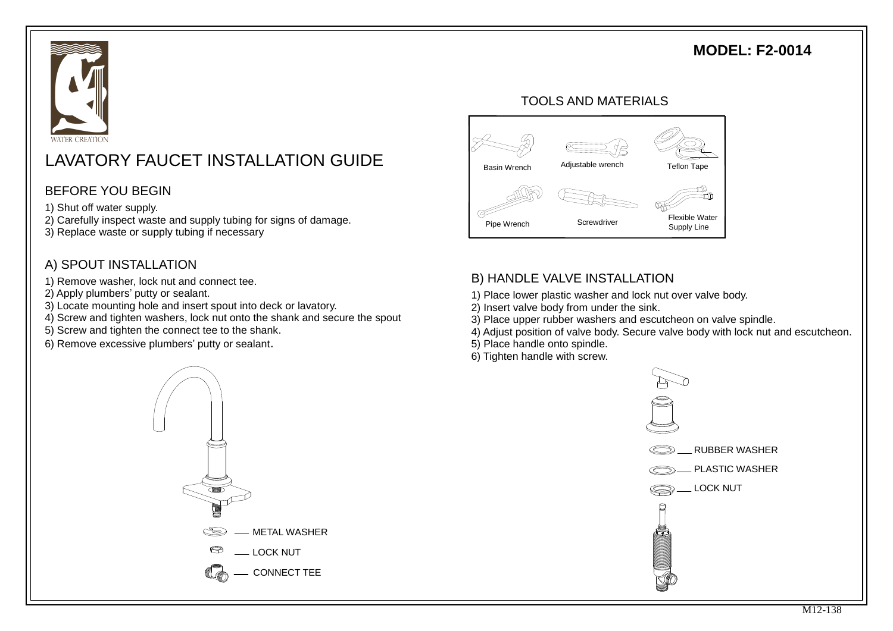## **MODEL: F2-0014**



# LAVATORY FAUCET INSTALLATION GUIDE

### BEFORE YOU BEGIN

- 1) Shut off water supply.
- 2) Carefully inspect waste and supply tubing for signs of damage.
- 3) Replace waste or supply tubing if necessary

### A) SPOUT INSTALLATION

- 1) Remove washer, lock nut and connect tee.
- 2) Apply plumbers' putty or sealant.
- 3) Locate mounting hole and insert spout into deck or lavatory.
- 4) Screw and tighten washers, lock nut onto the shank and secure the spout
- 5) Screw and tighten the connect tee to the shank.
- 6) Remove excessive plumbers' putty or sealant.



#### TOOLS AND MATERIALS



## B) HANDLE VALVE INSTALLATION

- 1) Place lower plastic washer and lock nut over valve body.
- 2) Insert valve body from under the sink.
- 3) Place upper rubber washers and escutcheon on valve spindle.
- 4) Adjust position of valve body. Secure valve body with lock nut and escutcheon.
- 5) Place handle onto spindle.
- 6) Tighten handle with screw.